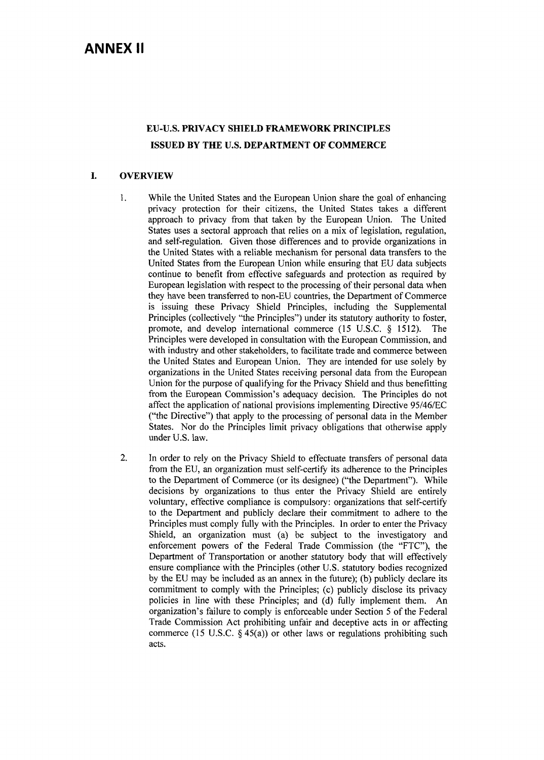# **EU-U.S. PRIVACY SHIELD FRAMEWORK PRINCIPLES ISSUED BY THE U.S. DEPARTMENT OF COMMERCE**

### **I. OVERVIEW**

- 1. While the United States and the European Union share the goal of enhancing privacy protection for their citizens, the United States takes a different approach to privacy from that taken by the European Union. The United States uses a sectoral approach that relies on a mix of legislation, regulation, and self-regulation. Given those differences and to provide organizations in the United States with a reliable mechanism for personal data transfers to the United States from the European Union while ensuring that EU data subjects continue to benefit from effective safeguards and protection as required by European legislation with respect to the processing of their personal data when they have been transferred to non-EU countries, the Department of Commerce is issuing these Privacy Shield Principles, including the Supplemental Principles (collectively "the Principles") under its statutory authority to foster, promote, and develop international commerce (15 U.S.C. § 1512). The Principles were developed in consultation with the European Commission, and with industry and other stakeholders, to facilitate trade and commerce between the United States and European Union. They are intended for use solely by organizations in the United States receiving personal data from the European Union for the purpose of qualifying for the Privacy Shield and thus benefitting from the European Commission's adequacy decision. The Principles do not affect the application of national provisions implementing Directive 95/46/EC ("the Directive") that apply to the processing of personal data in the Member States. Nor do the Principles limit privacy obligations that otherwise apply under U.S. law.
- 2. In order to rely on the Privacy Shield to effectuate transfers of personal data from the EU, an organization must self-certify its adherence to the Principles to the Department of Commerce (or its designee) ("the Department"). While decisions by organizations to thus enter the Privacy Shield are entirely voluntary, effective compliance is compulsory: organizations that self-certify to the Department and publicly declare their commitment to adhere to the Principles must comply fully with the Principles. In order to enter the Privacy Shield, an organization must (a) be subject to the investigatory and enforcement powers of the Federal Trade Commission (the "FTC"), the Department of Transportation or another statutory body that will effectively ensure compliance with the Principles (other U.S. statutory bodies recognized by the EU may be included as an annex in the future); (b) publicly declare its commitment to comply with the Principles; (c) publicly disclose its privacy policies in line with these Principles; and (d) fully implement them. An organization's failure to comply is enforceable under Section 5 of the Federal Trade Commission Act prohibiting unfair and deceptive acts in or affecting commerce (15 U.S.C.  $\S$  45(a)) or other laws or regulations prohibiting such acts.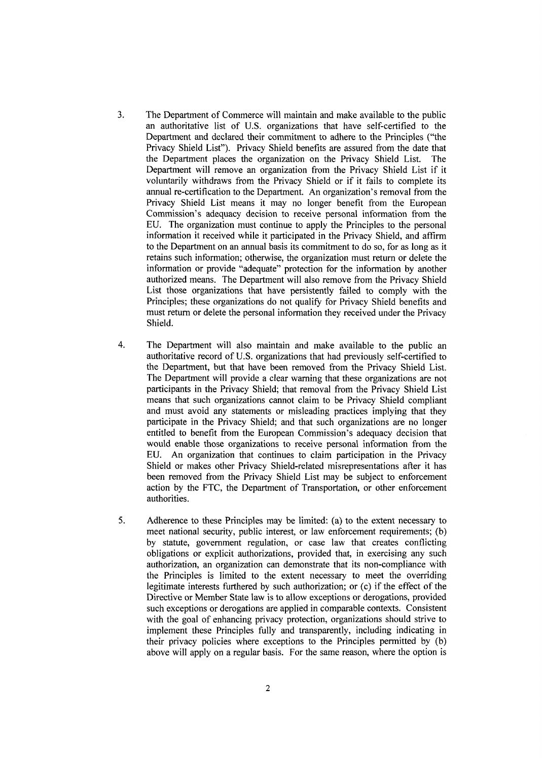- 3. The Department of Commerce will maintain and make available to the public an authoritative list of U.S. organizations that have self-certified to the Department and declared their commitment to adhere to the Principles ("the Privacy Shield List"). Privacy Shield benefits are assured from the date that the Department places the organization on the Privacy Shield List. The Department will remove an organization from the Privacy Shield List if it voluntarily withdraws from the Privacy Shield or if it fails to complete its annual re-certification to the Department. An organization's removal from the Privacy Shield List means it may no longer benefit from the European Commission's adequacy decision to receive personal information from the EU. The organization must continue to apply the Principles to the personal information it received while it participated in the Privacy Shield, and affirm to the Department on an annual basis its commitment to do so, for as long as it retains such information; otherwise, the organization must return or delete the information or provide "adequate" protection for the information by another authorized means. The Department will also remove from the Privacy Shield List those organizations that have persistently failed to comply with the Principles; these organizations do not qualify for Privacy Shield benefits and must return or delete the personal information they received under the Privacy Shield.
- 4. The Department will also maintain and make available to the public an authoritative record of U.S. organizations that had previously self-certified to the Department, but that have been removed from the Privacy Shield List. The Department will provide a clear warning that these organizations are not participants in the Privacy Shield; that removal from the Privacy Shield List means that such organizations cannot claim to be Privacy Shield compliant and must avoid any statements or misleading practices implying that they participate in the Privacy Shield; and that such organizations are no longer entitled to benefit from the European Commission's adequacy decision that would enable those organizations to receive personal information from the EU. An organization that continues to claim participation in the Privacy Shield or makes other Privacy Shield-related misrepresentations after it has been removed from the Privacy Shield List may be subject to enforcement action by the FTC, the Department of Transportation, or other enforcement authorities.
- 5. Adherence to these Principles may be limited: (a) to the extent necessary to meet national security, public interest, or law enforcement requirements; (b) by statute, government regulation, or case law that creates conflicting obligations or explicit authorizations, provided that, in exercising any such authorization, an organization can demonstrate that its non-compliance with the Principles is limited to the extent necessary to meet the overriding legitimate interests furthered by such authorization; or (c) if the effect of the Directive or Member State law is to allow exceptions or derogations, provided such exceptions or derogations are applied in comparable contexts. Consistent with the goal of enhancing privacy protection, organizations should strive to implement these Principles fully and transparently, including indicating in their privacy policies where exceptions to the Principles permitted by (b) above will apply on a regular basis. For the same reason, where the option is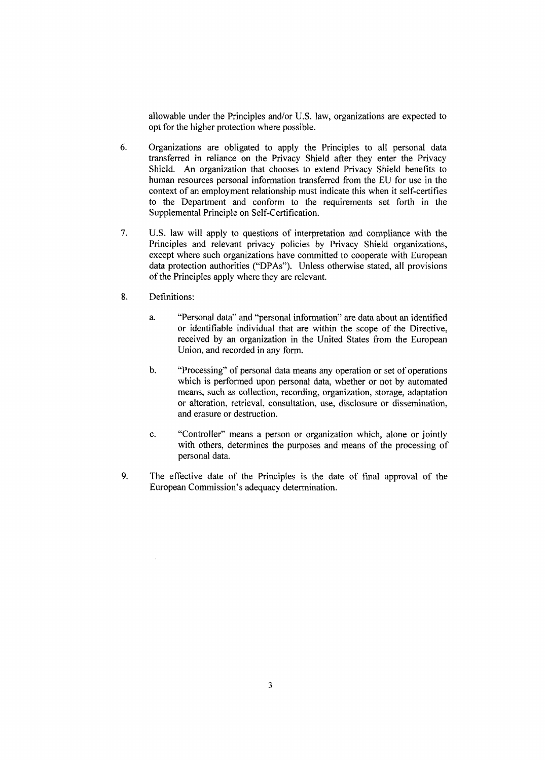allowable under the Principles and/or U.S. law, organizations are expected to opt for the higher protection where possible.

- 6. Organizations are obligated to apply the Principles to all personal data transferred in reliance on the Privacy Shield after they enter the Privacy Shield. An organization that chooses to extend Privacy Shield benefits to human resources personal information transferred from the EU for use in the context of an employment relationship must indicate this when it self-certifies to the Department and conform to the requirements set forth in the Supplemental Principle on Self-Certification.
- 7. U.S. law will apply to questions of interpretation and compliance with the Principles and relevant privacy policies by Privacy Shield organizations, except where such organizations have committed to cooperate with European data protection authorities ("DPAs"). Unless otherwise stated, all provisions of the Principles apply where they are relevant.
- 8. Definitions:
	- a. "Personal data" and "personal information" are data about an identified or identifiable individual that are within the scope of the Directive, received by an organization in the United States from the European Union, and recorded in any form.
	- b. "Processing" of personal data means any operation or set of operations which is performed upon personal data, whether or not by automated means, such as collection, recording, organization, storage, adaptation or alteration, retrieval, consultation, use, disclosure or dissemination, and erasure or destruction.
	- c. "Controller" means a person or organization which, alone or jointly with others, determines the purposes and means of the processing of personal data.
- 9. The effective date of the Principles is the date of final approval of the European Commission's adequacy determination.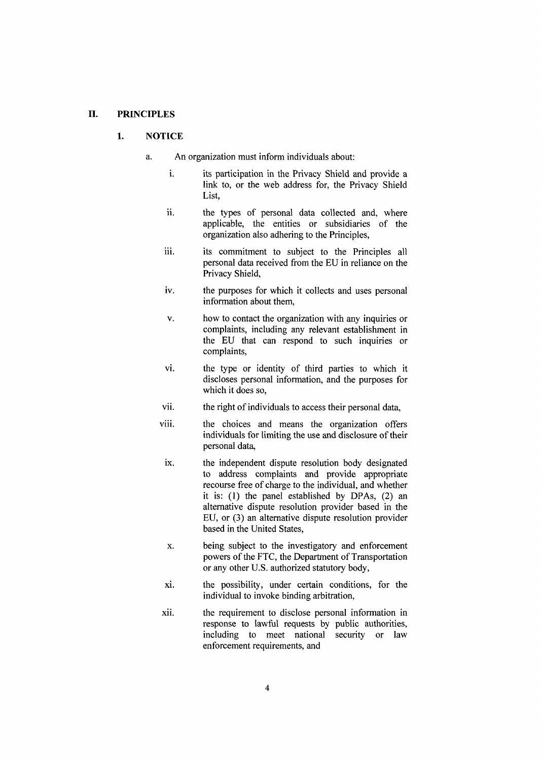#### **II. PRINCIPLES**

#### **1. NOTICE**

- a. An organization must inform individuals about:
	- i. its participation in the Privacy Shield and provide a link to, or the web address for, the Privacy Shield List,
	- ii. the types of personal data collected and, where applicable, the entities or subsidiaries of the organization also adhering to the Principles,
	- iii. its commitment to subject to the Principles all personal data received from the EU in reliance on the Privacy Shield,
	- iv. the purposes for which it collects and uses personal information about them,
	- v. how to contact the organization with any inquiries or complaints, including any relevant establishment in the EU that can respond to such inquiries or complaints,
	- vi. the type or identity of third parties to which it discloses personal information, and the purposes for which it does so,
	- vii. the right of individuals to access their personal data,
	- viii. the choices and means the organization offers individuals for limiting the use and disclosure of their personal data,
	- ix. the independent dispute resolution body designated to address complaints and provide appropriate recourse free of charge to the individual, and whether it is:  $(1)$  the panel established by DPAs,  $(2)$  and alternative dispute resolution provider based in the EU, or (3) an alternative dispute resolution provider based in the United States,
	- x. being subject to the investigatory and enforcement powers of the FTC, the Department of Transportation or any other U.S. authorized statutory body,
	- xi. the possibility, under certain conditions, for the individual to invoke binding arbitration,
	- xii. the requirement to disclose personal information in response to lawful requests by public authorities, including to meet national security or law enforcement requirements, and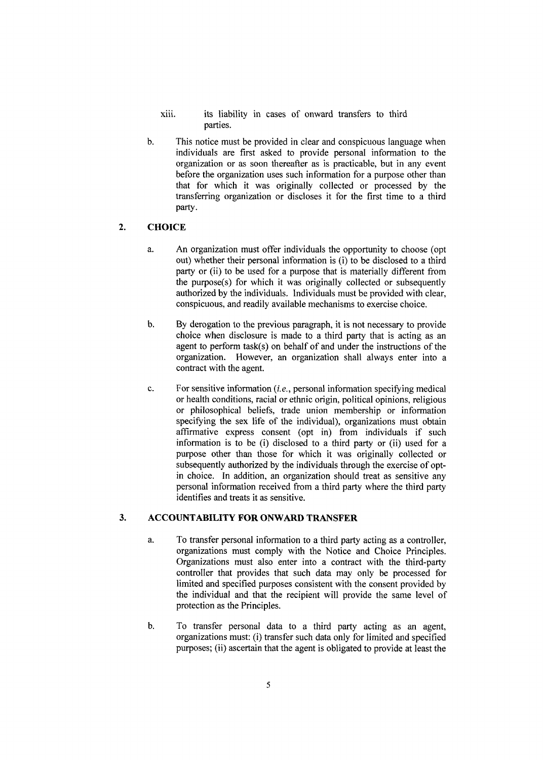xiii. its liability in cases of onward transfers to third parties.

b. This notice must be provided in clear and conspicuous language when individuals are first asked to provide personal information to the organization or as soon thereafter as is practicable, but in any event before the organization uses such information for a purpose other than that for which it was originally collected or processed by the transferring organization or discloses it for the first time to a third party.

### **2. CHOICE**

- a. An organization must offer individuals the opportunity to choose (opt out) whether their personal information is (i) to be disclosed to a third party or (ii) to be used for a purpose that is materially different from the purpose(s) for which it was originally collected or subsequently authorized by the individuals. Individuals must be provided with clear, conspicuous, and readily available mechanisms to exercise choice.
- b. By derogation to the previous paragraph, it is not necessary to provide choice when disclosure is made to a third party that is acting as an agent to perform task(s) on behalf of and under the instructions of the organization. However, an organization shall always enter into a contract with the agent.
- c. For sensitive information *(i.e.,* personal information specifying medical or health conditions, racial or ethnic origin, political opinions, religious or philosophical beliefs, trade union membership or information specifying the sex life of the individual), organizations must obtain affirmative express consent (opt in) from individuals if such information is to be (i) disclosed to a third party or (ii) used for a purpose other than those for which it was originally collected or subsequently authorized by the individuals through the exercise of optin choice. In addition, an organization should treat as sensitive any personal information received from a third party where the third party identifies and treats it as sensitive.

#### **3. ACCOUNTABILITY FOR ONWARD TRANSFER**

- a. To transfer personal information to a third party acting as a controller, organizations must comply with the Notice and Choice Principles. Organizations must also enter into a contract with the third-party controller that provides that such data may only be processed for limited and specified purposes consistent with the consent provided by the individual and that the recipient will provide the same level of protection as the Principles.
- b. To transfer personal data to a third party acting as an agent, organizations must: (i) transfer such data only for limited and specified purposes; (ii) ascertain that the agent is obligated to provide at least the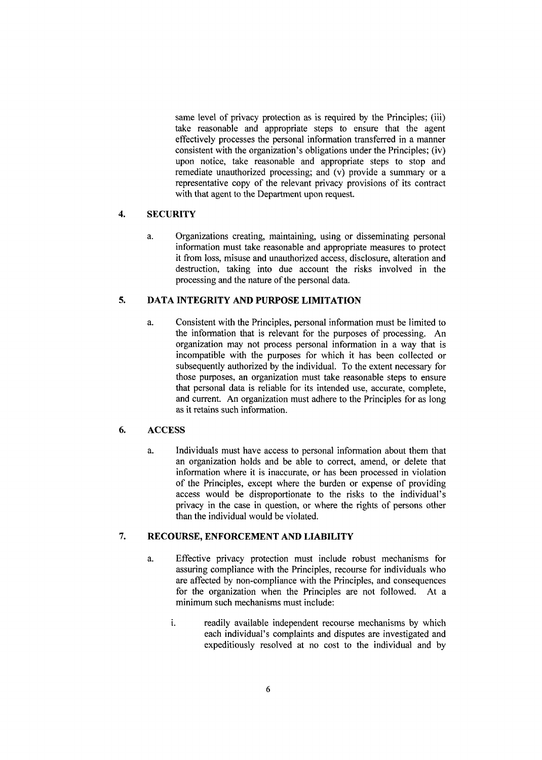same level of privacy protection as is required by the Principles; (iii) take reasonable and appropriate steps to ensure that the agent effectively processes the personal information transferred in a manner consistent with the organization's obligations under the Principles; (iv) upon notice, take reasonable and appropriate steps to stop and remediate unauthorized processing; and (v) provide a summary or a representative copy of the relevant privacy provisions of its contract with that agent to the Department upon request.

#### **4. SECURITY**

a. Organizations creating, maintaining, using or disseminating personal information must take reasonable and appropriate measures to protect it from loss, misuse and unauthorized access, disclosure, alteration and destruction, taking into due account the risks involved in the processing and the nature of the personal data.

## **5. DATA INTEGRITY AND PURPOSE LIMITATION**

a. Consistent with the Principles, personal information must be limited to the information that is relevant for the purposes of processing. An organization may not process personal information in a way that is incompatible with the purposes for which it has been collected or subsequently authorized by the individual. To the extent necessary for those purposes, an organization must take reasonable steps to ensure that personal data is reliable for its intended use, accurate, complete, and current. An organization must adhere to the Principles for as long as it retains such information.

### **6. ACCESS**

a. Individuals must have access to personal information about them that an organization holds and be able to correct, amend, or delete that information where it is inaccurate, or has been processed in violation of the Principles, except where the burden or expense of providing access would be disproportionate to the risks to the individual's privacy in the case in question, or where the rights of persons other than the individual would be violated.

### **7. RECOURSE, ENFORCEMENT AND LIABILITY**

- a. Effective privacy protection must include robust mechanisms for assuring compliance with the Principles, recourse for individuals who are affected by non-compliance with the Principles, and consequences for the organization when the Principles are not followed. At a minimum such mechanisms must include:
	- i. readily available independent recourse mechanisms by which each individual's complaints and disputes are investigated and expeditiously resolved at no cost to the individual and by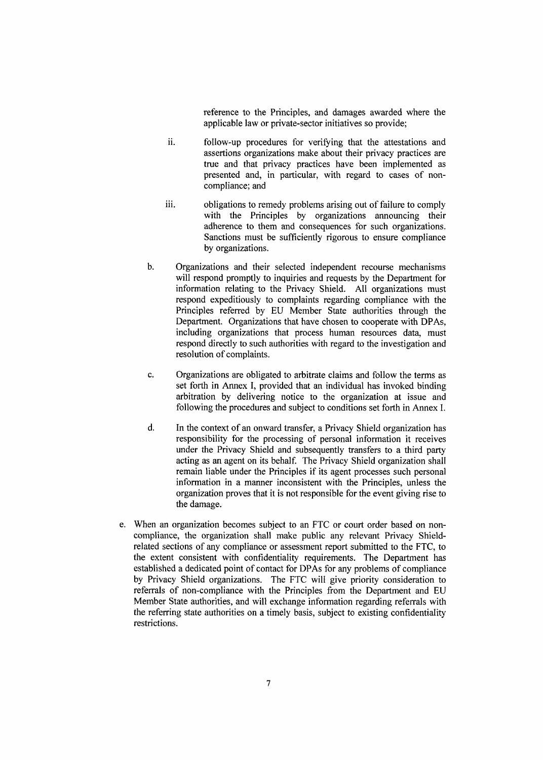reference to the Principles, and damages awarded where the applicable law or private-sector initiatives so provide;

- ii. follow-up procedures for verifying that the attestations and assertions organizations make about their privacy practices are true and that privacy practices have been implemented as presented and, in particular, with regard to cases of noncompliance; and
- iii. obligations to remedy problems arising out of failure to comply with the Principles by organizations announcing their adherence to them and consequences for such organizations. Sanctions must be sufficiently rigorous to ensure compliance by organizations.
- b. Organizations and their selected independent recourse mechanisms will respond promptly to inquiries and requests by the Department for information relating to the Privacy Shield. All organizations must respond expeditiously to complaints regarding compliance with the Principles referred by EU Member State authorities through the Department. Organizations that have chosen to cooperate with DP As, including organizations that process human resources data, must respond directly to such authorities with regard to the investigation and resolution of complaints.
- c. Organizations are obligated to arbitrate claims and follow the terms as set forth in Annex I, provided that an individual has invoked binding arbitration by delivering notice to the organization at issue and following the procedures and subject to conditions set forth in Annex I.
- d. In the context of an onward transfer, a Privacy Shield organization has responsibility for the processing of personal information it receives under the Privacy Shield and subsequently transfers to a third party acting as an agent on its behalf. The Privacy Shield organization shall remain liable under the Principles if its agent processes such personal information in a manner inconsistent with the Principles, unless the organization proves that it is not responsible for the event giving rise to the damage.
- e. When an organization becomes subject to an FTC or court order based on noncompliance, the organization shall make public any relevant Privacy Shieldrelated sections of any compliance or assessment report submitted to the FTC, to the extent consistent with confidentiality requirements. The Department has established a dedicated point of contact for DP As for any problems of compliance by Privacy Shield organizations. The FTC will give priority consideration to referrals of non-compliance with the Principles from the Department and EU Member State authorities, and will exchange information regarding referrals with the referring state authorities on a timely basis, subject to existing confidentiality restrictions.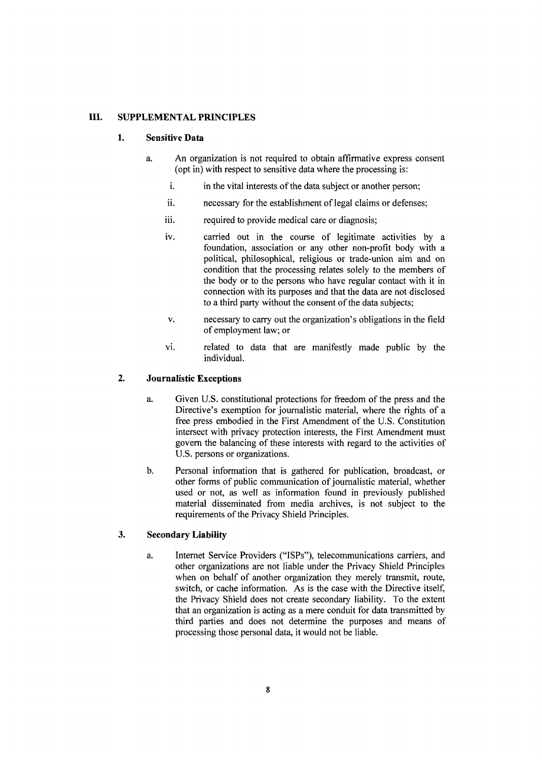#### **III. SUPPLEMENTAL PRINCIPLES**

#### **1. Sensitive Data**

- a. An organization is not required to obtain affirmative express consent (opt in) with respect to sensitive data where the processing is:
	- i. in the vital interests of the data subject or another person;
	- ii. necessary for the establishment of legal claims or defenses;
	- iii. required to provide medical care or diagnosis;
	- iv. carried out in the course of legitimate activities by a foundation, association or any other non-profit body with a political, philosophical, religious or trade-union aim and on condition that the processing relates solely to the members of the body or to the persons who have regular contact with it in connection with its purposes and that the data are not disclosed to a third party without the consent of the data subjects;
	- v. necessary to carry out the organization's obligations in the field of employment law; or
	- vi. related to data that are manifestly made public by the individual.

## **2. Journalistic Exceptions**

- a. Given U.S. constitutional protections for freedom of the press and the Directive's exemption for journalistic material, where the rights of a free press embodied in the First Amendment of the U.S. Constitution intersect with privacy protection interests, the First Amendment must govern the balancing of these interests with regard to the activities of U.S. persons or organizations.
- b. Personal information that is gathered for publication, broadcast, or other forms of public communication of journalistic material, whether used or not, as well as information found in previously published material disseminated from media archives, is not subject to the requirements of the Privacy Shield Principles.

#### **3. Secondary Liability**

a. Internet Service Providers ("ISPs"), telecommunications carriers, and other organizations are not liable under the Privacy Shield Principles when on behalf of another organization they merely transmit, route, switch, or cache information. As is the case with the Directive itself, the Privacy Shield does not create secondary liability. To the extent that an organization is acting as a mere conduit for data transmitted by third parties and does not determine the purposes and means of processing those personal datą it would not be liable.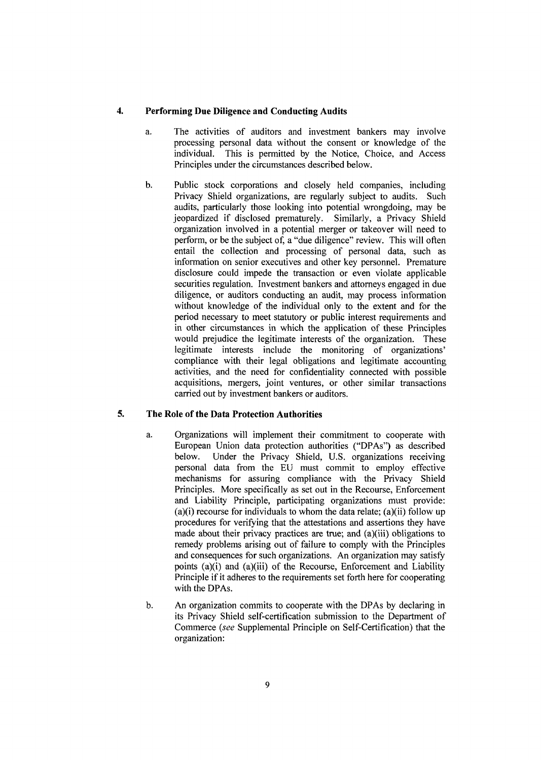#### **4. Performing Due Diligence and Conducting Audits**

- a. The activities of auditors and investment bankers may involve processing personal data without the consent or knowledge of the individual. This is permitted by the Notice, Choice, and Access Principles under the circumstances described below.
- b. Public stock corporations and closely held companies, including Privacy Shield organizations, are regularly subject to audits. Such audits, particularly those looking into potential wrongdoing, may be jeopardized if disclosed prematurely. Similarly, a Privacy Shield organization involved in a potential merger or takeover will need to perform, or be the subject of, a "due diligence" review. This will often entail the collection and processing of personal data, such as information on senior executives and other key personnel. Premature disclosure could impede the transaction or even violate applicable securities regulation. Investment bankers and attorneys engaged in due diligence, or auditors conducting an audit, may process information without knowledge of the individual only to the extent and for the period necessary to meet statutory or public interest requirements and in other circumstances in which the application of these Principles would prejudice the legitimate interests of the organization. These legitimate interests include the monitoring of organizations' compliance with their legal obligations and legitimate accounting activities, and the need for confidentiality connected with possible acquisitions, mergers, joint ventures, or other similar transactions carried out by investment bankers or auditors.

### **5. The Role of the Data Protection Authorities**

- a. Organizations will implement their commitment to cooperate with European Union data protection authorities ("DPAs") as described below. Under the Privacy Shield, U.S. organizations receiving personal data from the EU must commit to employ effective mechanisms for assuring compliance with the Privacy Shield Principles. More specifically as set out in the Recourse, Enforcement and Liability Principle, participating organizations must provide:  $(a)(i)$  recourse for individuals to whom the data relate;  $(a)(ii)$  follow up procedures for verifying that the attestations and assertions they have made about their privacy practices are true; and (a)(iii) obligations to remedy problems arising out of failure to comply with the Principles and consequences for such organizations. An organization may satisfy points (a)(i) and (a)(iii) of the Recourse, Enforcement and Liability Principle if it adheres to the requirements set forth here for cooperating with the DPAs.
- b. An organization commits to cooperate with the DPAs by declaring in its Privacy Shield self-certification submission to the Department of Commerce (*see* Supplemental Principle on Self-Certification) that the organization: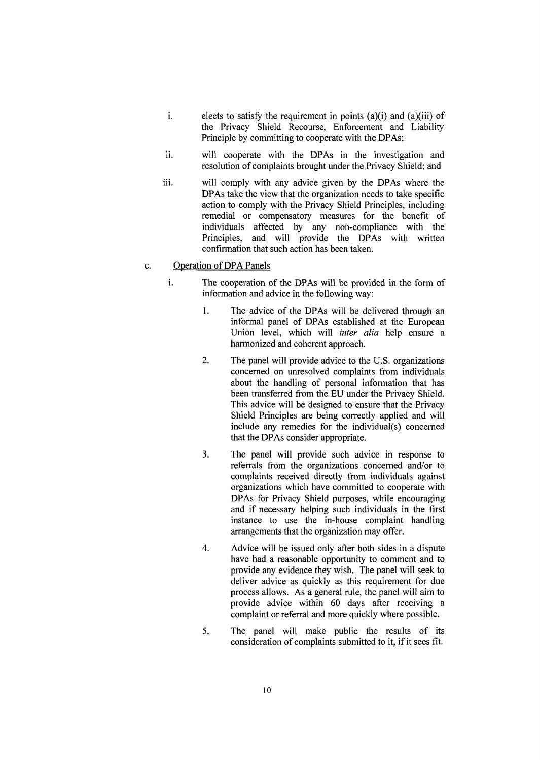- i. elects to satisfy the requirement in points  $(a)(i)$  and  $(a)(iii)$  of the Privacy Shield Recourse, Enforcement and Liability Principle by committing to cooperate with the DPAs;
- ii. will cooperate with the DPAs in the investigation and resolution of complaints brought under the Privacy Shield; and
- iii. will comply with any advice given by the DPAs where the DPAs take the view that the organization needs to take specific action to comply with the Privacy Shield Principles, including remedial or compensatory measures for the benefit of individuals affected by any non-compliance with the Principles, and will provide the DPAs with written confirmation that such action has been taken.

#### c. Operation of DPA Panels

- i. The cooperation of the DPAs will be provided in the form of information and advice in the following way:
	- 1. The advice of the DPAs will be delivered through an informal panel of DPAs established at the European Union level, which will *inter alia* help ensure a harmonized and coherent approach.
	- 2. The panel will provide advice to the U.S. organizations concerned on unresolved complaints from individuals about the handling of personal information that has been transferred from the EU under the Privacy Shield. This advice will be designed to ensure that the Privacy Shield Principles are being correctly applied and will include any remedies for the individual(s) concerned that the DPAs consider appropriate.
	- 3. The panel will provide such advice in response to referrals from the organizations concerned and/or to complaints received directly from individuals against organizations which have committed to cooperate with DPAs for Privacy Shield purposes, while encouraging and if necessary helping such individuals in the first instance to use the in-house complaint handling arrangements that the organization may offer.
	- 4. Advice will be issued only after both sides in a dispute have had a reasonable opportunity to comment and to provide any evidence they wish. The panel will seek to deliver advice as quickly as this requirement for due process allows. As a general rule, the panel will aim to provide advice within 60 days after receiving a complaint or referral and more quickly where possible.
	- 5. The panel will make public the results of its consideration of complaints submitted to it, if it sees fit.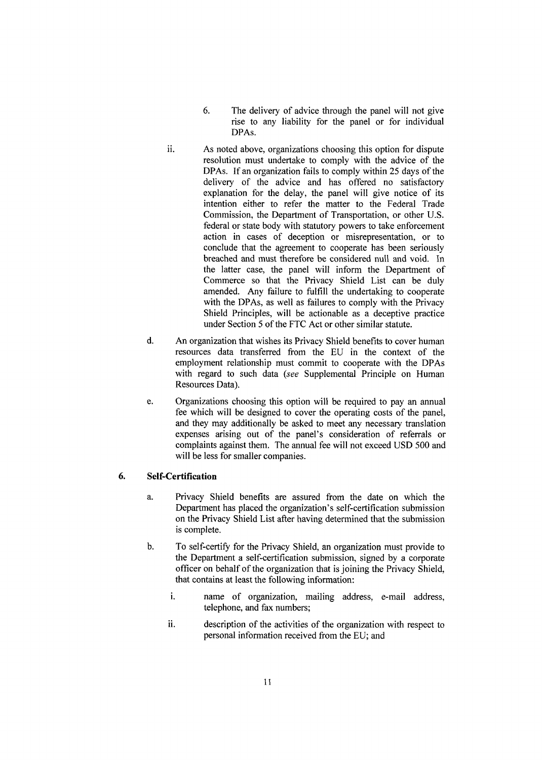- 6. The delivery of advice through the panel will not give rise to any liability for the panel or for individual DPAs.
- ii. As noted above, organizations choosing this option for dispute resolution must undertake to comply with the advice of the DPAs. If an organization fails to comply within 25 days of the delivery of the advice and has offered no satisfactory explanation for the delay, the panel will give notice of its intention either to refer the matter to the Federal Trade Commission, the Department of Transportation, or other U.S. federal or state body with statutory powers to take enforcement action in cases of deception or misrepresentation, or to conclude that the agreement to cooperate has been seriously breached and must therefore be considered null and void. In the latter case, the panel will inform the Department of Commerce so that the Privacy Shield List can be duly amended. Any failure to fulfill the undertaking to cooperate with the DPAs, as well as failures to comply with the Privacy Shield Principles, will be actionable as a deceptive practice under Section 5 of the FTC Act or other similar statute.
- d. An organization that wishes its Privacy Shield benefits to cover human resources data transferred from the EU in the context of the employment relationship must commit to cooperate with the DPAs with regard to such data (*see* Supplemental Principle on Human Resources Data).
- e. Organizations choosing this option will be required to pay an annual fee which will be designed to cover the operating costs of the panel, and they may additionally be asked to meet any necessary translation expenses arising out of the panel's consideration of referrals or complaints against them. The annual fee will not exceed USD 500 and will be less for smaller companies.

#### **6. Self-Certification**

- a. Privacy Shield benefits are assured from the date on which the Department has placed the organization's self-certification submission on the Privacy Shield List after having determined that the submission is complete.
- b. To self-certify for the Privacy Shield, an organization must provide to the Department a self-certification submission, signed by a corporate officer on behalf of the organization that is joining the Privacy Shield, that contains at least the following information:
	- i. name of organization, mailing address, e-mail address, telephone, and fax numbers;
	- ii. description of the activities of the organization with respect to personal information received from the EU; and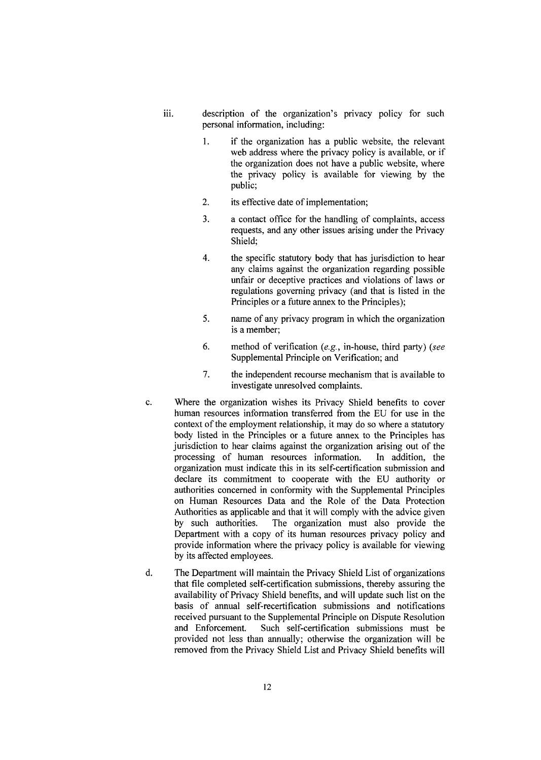- iii. description of the organization's privacy policy for such personal information, including:
	- 1. if the organization has a public website, the relevant web address where the privacy policy is available, or if the organization does not have a public website, where the privacy policy is available for viewing by the public;
	- 2. its effective date of implementation;
	- 3. a contact office for the handling of complaints, access requests, and any other issues arising under the Privacy Shield;
	- 4. the specific statutory body that has jurisdiction to hear any claims against the organization regarding possible unfair or deceptive practices and violations of laws or regulations governing privacy (and that is listed in the Principles or a future annex to the Principles);
	- 5. name of any privacy program in which the organization is a member;
	- 6. method of verification *(e.g.,* in-house, third party) *(see*  Supplemental Principle on Verification; and
	- 7. the independent recourse mechanism that is available to investigate unresolved complaints.
- Where the organization wishes its Privacy Shield benefits to cover c. human resources information transferred from the EU for use in the context of the employment relationship, it may do so where a statutory body listed in the Principles or a future annex to the Principles has jurisdiction to hear claims against the organization arising out of the processing of human resources information. In addition, the organization must indicate this in its self-certification submission and declare its commitment to cooperate with the EU authority or authorities concerned in conformity with the Supplemental Principles on Human Resources Data and the Role of the Data Protection Authorities as applicable and that it will comply with the advice given by such authorities. The organization must also provide the Department with a copy of its human resources privacy policy and provide information where the privacy policy is available for viewing by its affected employees.
- The Department will maintain the Privacy Shield List of organizations  $\mathbf{d}$ . that file completed self-certification submissions, thereby assuring the availability of Privacy Shield benefits, and will update such list on the basis of annual self-recertification submissions and notifications received pursuant to the Supplemental Principle on Dispute Resolution and Enforcement. Such self-certification submissions must be provided not less than annually; otherwise the organization will be removed from the Privacy Shield List and Privacy Shield benefits will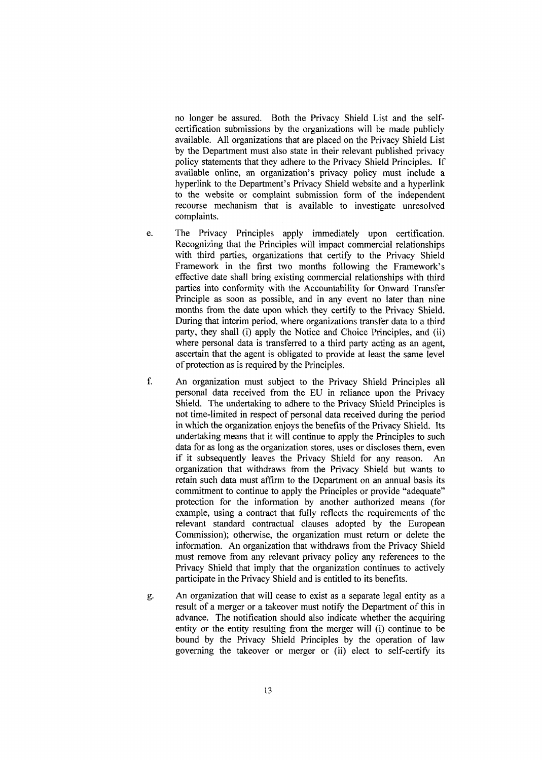no longer be assured. Both the Privacy Shield List and the selfcertification submissions by the organizations will be made publicly available. All organizations that are placed on the Privacy Shield List by the Department must also state in their relevant published privacy policy statements that they adhere to the Privacy Shield Principles. If available online, an organization's privacy policy must include a hyperlink to the Department's Privacy Shield website and a hyperlink to the website or complaint submission form of the independent recourse mechanism that is available to investigate unresolved complaints.

- e. The Privacy Principles apply immediately upon certification. Recognizing that the Principles will impact commercial relationships with third parties, organizations that certify to the Privacy Shield Framework in the first two months following the Framework's effective date shall bring existing commercial relationships with third parties into conformity with the Accountability for Onward Transfer Principle as soon as possible, and in any event no later than nine months from the date upon which they certify to the Privacy Shield. During that interim period, where organizations transfer data to a third party, they shall (i) apply the Notice and Choice Principles, and (ii) where personal data is transferred to a third party acting as an agent, ascertain that the agent is obligated to provide at least the same level of protection as is required by the Principles.
- f. An organization must subject to the Privacy Shield Principles all personal data received from the EU in reliance upon the Privacy Shield. The undertaking to adhere to the Privacy Shield Principles is not time-limited in respect of personal data received during the period in which the organization enjoys the benefits of the Privacy Shield. Its undertaking means that it will continue to apply the Principles to such data for as long as the organization stores, uses or discloses them, even if it subsequently leaves the Privacy Shield for any reason. An organization that withdraws from the Privacy Shield but wants to retain such data must affirm to the Department on an annual basis its commitment to continue to apply the Principles or provide "adequate" protection for the information by another authorized means (for example, using a contract that fully reflects the requirements of the relevant standard contractual clauses adopted by the European Commission); otherwise, the organization must return or delete the information. An organization that withdraws from the Privacy Shield must remove from any relevant privacy policy any references to the Privacy Shield that imply that the organization continues to actively participate in the Privacy Shield and is entitled to its benefits.
- g. An organization that will cease to exist as a separate legal entity as a result of a merger or a takeover must notify the Department of this in advance. The notification should also indicate whether the acquiring entity or the entity resulting from the merger will (i) continue to be bound by the Privacy Shield Principles by the operation of law governing the takeover or merger or (ii) elect to self-certify its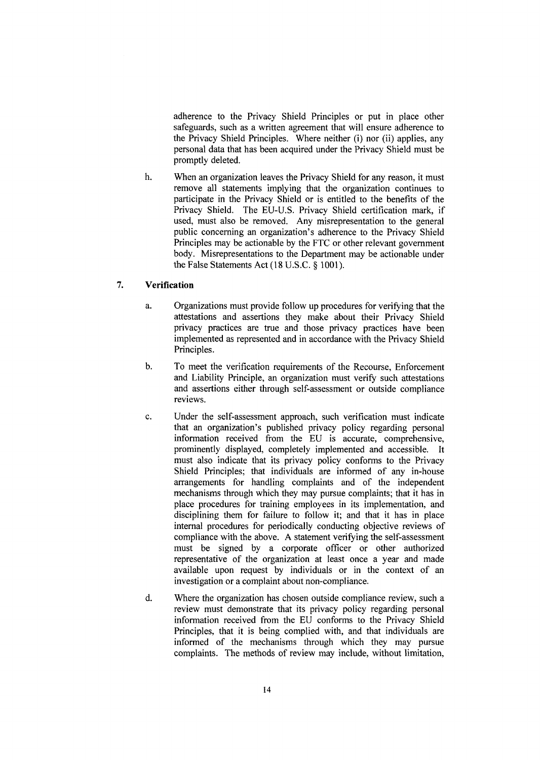adherence to the Privacy Shield Principles or put in place other safeguards, such as a written agreement that will ensure adherence to the Privacy Shield Principles. Where neither (i) nor (ii) applies, any personal data that has been acquired under the Privacy Shield must be promptly deleted.

h. When an organization leaves the Privacy Shield for any reason, it must remove all statements implying that the organization continues to participate in the Privacy Shield or is entitled to the benefits of the Privacy Shield. The EU-U.S. Privacy Shield certification mark, if used, must also be removed. Any misrepresentation to the general public concerning an organization's adherence to the Privacy Shield Principles may be actionable by the FTC or other relevant government body. Misrepresentations to the Department may be actionable under the False Statements Act (18 U.S.C. § 1001).

### **7. Verification**

- a. Organizations must provide follow up procedures for verifying that the attestations and assertions they make about their Privacy Shield privacy practices are true and those privacy practices have been implemented as represented and in accordance with the Privacy Shield Principles.
- b. To meet the verification requirements of the Recourse, Enforcement and Liability Principle, an organization must verify such attestations and assertions either through self-assessment or outside compliance reviews.
- c. Under the self-assessment approach, such verification must indicate that an organization's published privacy policy regarding personal information received from the EU is accurate, comprehensive, prominently displayed, completely implemented and accessible. It must also indicate that its privacy policy conforms to the Privacy Shield Principles; that individuals are informed of any in-house arrangements for handling complaints and of the independent mechanisms through which they may pursue complaints; that it has in place procedures for training employees in its implementation, and disciplining them for failure to follow it; and that it has in place internal procedures for periodically conducting objective reviews of compliance with the above. A statement verifying the self-assessment must be signed by a corporate officer or other authorized representative of the organization at least once a year and made available upon request by individuals or in the context of an investigation or a complaint about non-compliance.
- d. Where the organization has chosen outside compliance review, such a review must demonstrate that its privacy policy regarding personal information received from the EU conforms to the Privacy Shield Principles, that it is being complied with, and that individuals are informed of the mechanisms through which they may pursue complaints. The methods of review may include, without limitation,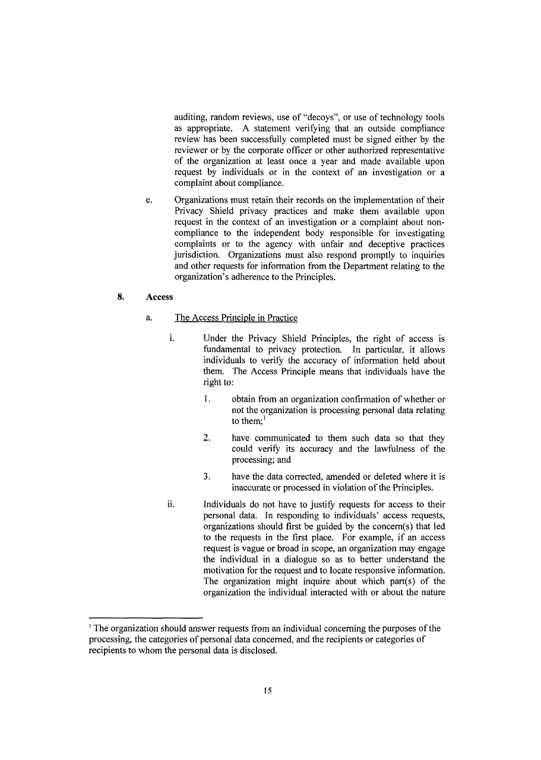auditing, random reviews, use of "decoys", or use of technology tools as appropriate. A statement verifying that an outside compliance review has been successfully completed must be signed either by the reviewer or by the corporate officer or other authorized representative of the organization at least once a year and made available upon request by individuals or in the context of an investigation or a complaint about compliance.

e. Organizations must retain their records on the implementation of their Privacy Shield privacy practices and make them available upon request in the context of an investigation or a complaint about noncompliance to the independent body responsible for investigating complaints or to the agency with unfair and deceptive practices jurisdiction. Organizations must also respond promptly to inquiries and other requests for information from the Department relating to the organization's adherence to the Principles.

#### **8. Access**

#### a. The Access Principle in Practice

- i. Under the Privacy Shield Principles, the right of access is fundamental to privacy protection. In particular, it allows individuals to verify the accuracy of information held about them. The Access Principle means that individuals have the right to:
	- 1. obtain from an organization confirmation of whether or not the organization is processing personal data relating to them: $<sup>1</sup>$ </sup>
	- 2. have communicated to them such data so that they could verify its accuracy and the lawfulness of the processing; and
	- 3. have the data corrected, amended or deleted where it is inaccurate or processed in violation of the Principles.
- ii. Individuals do not have to justify requests for access to their personal data. In responding to individuals' access requests, organizations should first be guided by the concern(s) that led to the requests in the first place. For example, if an access request is vague or broad in scope, an organization may engage the individual in a dialogue so as to better understand the motivation for the request and to locate responsive information. The organization might inquire about which part(s) of the organization the individual interacted with or about the nature

<sup>&</sup>lt;sup>1</sup> The organization should answer requests from an individual concerning the purposes of the processing, the categories of personal data concerned, and the recipients or categories of recipients to whom the personal data is disclosed.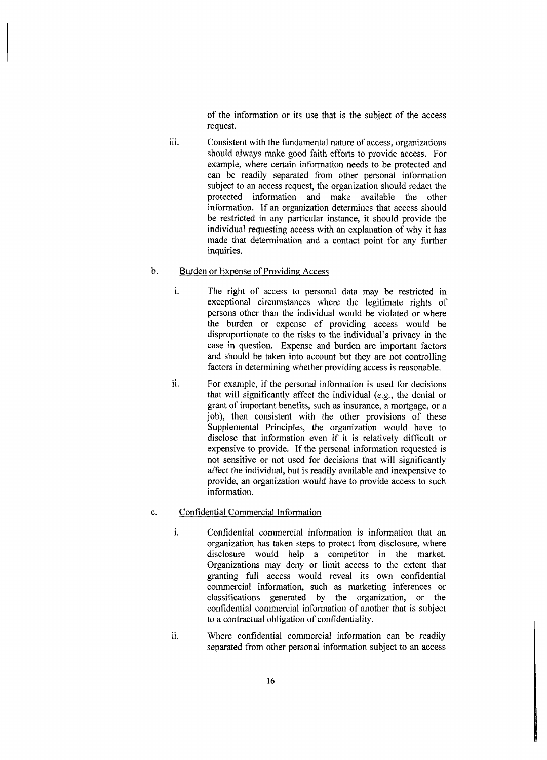of the information or its use that is the subject of the access request.

iii. Consistent with the fundamental nature of access, organizations should always make good faith efforts to provide access. For example, where certain information needs to be protected and can be readily separated from other personal information subject to an access request, the organization should redact the protected information and make available the other information. If an organization determines that access should be restricted in any particular instance, it should provide the individual requesting access with an explanation of why it has made that determination and a contact point for any further inquiries.

#### $\mathbf b$ . Burden or Expense of Providing Access

- i. The right of access to personal data may be restricted in exceptional circumstances where the legitimate rights of persons other than the individual would be violated or where the burden or expense of providing access would be disproportionate to the risks to the individual's privacy in the case in question. Expense and burden are important factors and should be taken into account but they are not controlling factors in determining whether providing access is reasonable.
- ii. For example, if the personal information is used for decisions that will significantly affect the individual *(e.g.,* the denial or grant of important benefits, such as insurance, a mortgage, or a job), then consistent with the other provisions of these Supplemental Principles, the organization would have to disclose that information even if it is relatively difficult or expensive to provide. If the personal information requested is not sensitive or not used for decisions that will significantly affect the individual, but is readily available and inexpensive to provide, an organization would have to provide access to such information.

#### Confidential Commercial Information c.

- i. Confidential commercial information is information that an organization has taken steps to protect from disclosure, where disclosure would help a competitor in the market. Organizations may deny or limit access to the extent that granting full access would reveal its own confidential commercial information, such as marketing inferences or classifications generated by the organization, or the confidential commercial information of another that is subject to a contractual obligation of confidentiality.
- ii. Where confidential commercial information can be readily separated from other personal information subject to an access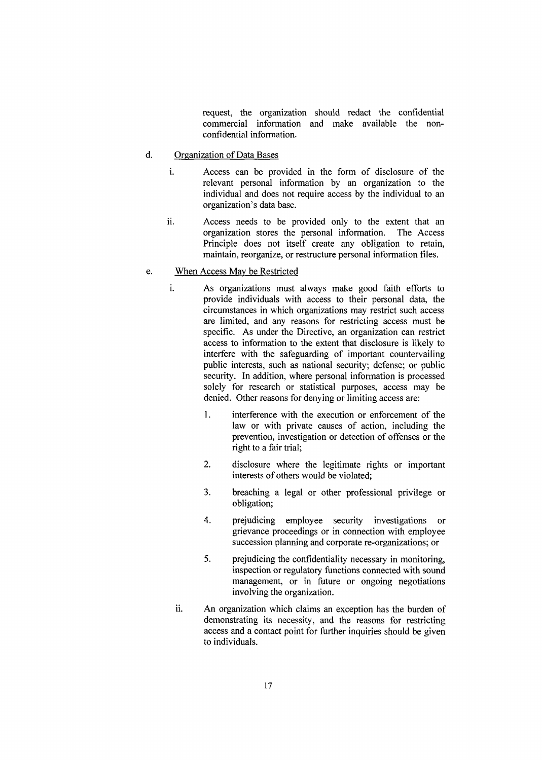request, the organization should redact the confidential commercial information and make available the nonconfidential information.

#### d. Organization of Data Bases

- $\mathbf{i}$ . Access can be provided in the form of disclosure of the relevant personal information by an organization to the individual and does not require access by the individual to an organization's data base.
- ii. Access needs to be provided only to the extent that an organization stores the personal information. The Access Principle does not itself create any obligation to retain, maintain, reorganize, or restructure personal information files.

#### e. When Access Mav be Restricted

i.

- As organizations must always make good faith efforts to provide individuals with access to their personal data, the circumstances in which organizations may restrict such access are limited, and any reasons for restricting access must be specific. As under the Directive, an organization can restrict access to information to the extent that disclosure is likely to interfere with the safeguarding of important countervailing public interests, such as national security; defense; or public security. In addition, where personal information is processed solely for research or statistical purposes, access may be denied. Other reasons for denying or limiting access are:
	- 1. interference with the execution or enforcement of the law or with private causes of action, including the prevention, investigation or detection of offenses or the right to a fair trial;
	- 2. disclosure where the legitimate rights or important interests of others would be violated;
	- 3. breaching a legal or other professional privilege or obligation;
	- 4. prejudicing employee security investigations or grievance proceedings or in connection with employee succession planning and corporate re-organizations; or
	- 5. prejudicing the confidentiality necessary in monitoring, inspection or regulatory functions connected with sound management, or in future or ongoing negotiations involving the organization.
- ii. An organization which claims an exception has the burden of demonstrating its necessity, and the reasons for restricting access and a contact point for further inquiries should be given to individuals.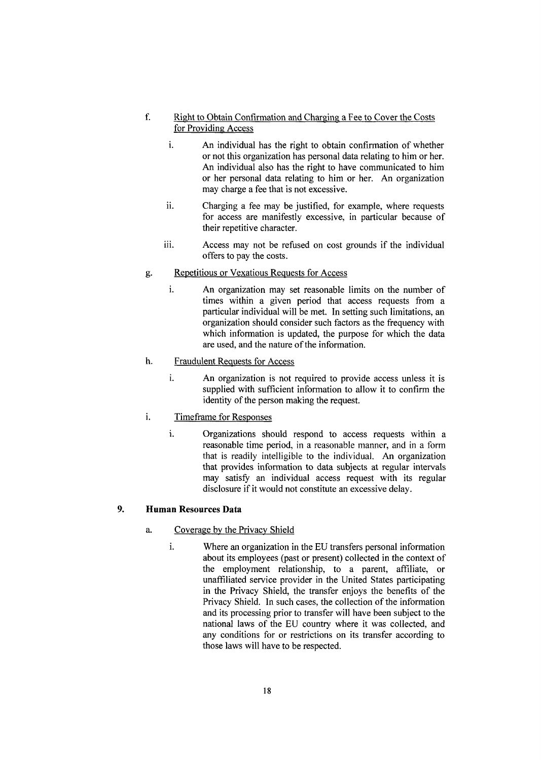#### f. Right to Obtain Confirmation and Charging a Fee to Cover the Costs for Providing Access

- i. An individual has the right to obtain confirmation of whether or not this organization has personal data relating to him or her. An individual also has the right to have communicated to him or her personal data relating to him or her. An organization may charge a fee that is not excessive.
- ii. Charging a fee may be justified, for example, where requests for access are manifestly excessive, in particular because of their repetitive character.
- iii. Access may not be refused on cost grounds if the individual offers to pay the costs.
- g. Repetitious or Vexatious Requests for Access
	- i. An organization may set reasonable limits on the number of times within a given period that access requests from a particular individual will be met. In setting such limitations, an organization should consider such factors as the frequency with which information is updated, the purpose for which the data are used, and the nature of the information.
- h. Fraudulent Requests for Access
	- i. An organization is not required to provide access unless it is supplied with sufficient information to allow it to confirm the identity of the person making the request.
- i. Timeframe for Responses
	- i. Organizations should respond to access requests within a reasonable time period, in a reasonable manner, and in a form that is readily intelligible to the individual. An organization that provides information to data subjects at regular intervals may satisfy an individual access request with its regular disclosure if it would not constitute an excessive delay.

### **9. Human Resources Data**

### a. Coverage by the Privacy Shield

i. Where an organization in the EU transfers personal information about its employees (past or present) collected in the context of the employment relationship, to a parent, affiliate, or unaffiliated service provider in the United States participating in the Privacy Shield, the transfer enjoys the benefits of the Privacy Shield. In such cases, the collection of the information and its processing prior to transfer will have been subject to the national laws of the EU country where it was collected, and any conditions for or restrictions on its transfer according to those laws will have to be respected.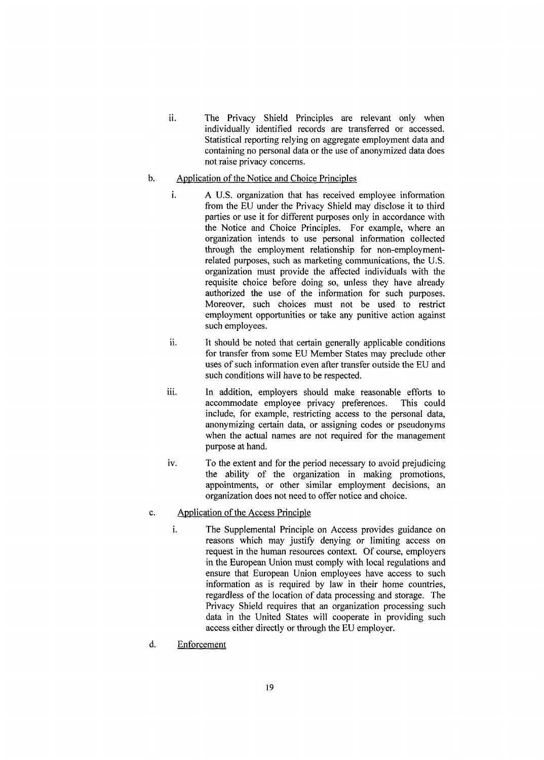ii. The Privacy Shield Principles are relevant only when individually identified records are transferred or accessed. Statistical reporting relying on aggregate employment data and containing no personal data or the use of anonymized data does not raise privacy concerns.

#### $<sub>b</sub>$ </sub> Application of the Notice and Choice Principles

- i. A U.S. organization that has received employee information from the EU under the Privacy Shield may disclose it to third parties or use it for different purposes only in accordance with the Notice and Choice Principles. For example, where an organization intends to use personal information collected through the employment relationship for non-employmentrelated purposes, such as marketing communications, the U.S. organization must provide the affected individuals with the requisite choice before doing so, unless they have already authorized the use of the information for such purposes. Moreover, such choices must not be used to restrict employment opportunities or take any punitive action against such employees.
- ii. It should be noted that certain generally applicable conditions for transfer from some EU Member States may preclude other uses of such information even after transfer outside the EU and such conditions will have to be respected.
- iii. In addition, employers should make reasonable efforts to accommodate employee privacy preferences. This could include, for example, restricting access to the personal data, anonymizing certain data, or assigning codes or pseudonyms when the actual names are not required for the management purpose at hand.
- To the extent and for the period necessary to avoid prejudicing iv. the ability of the organization in making promotions, appointments, or other similar employment decisions, an organization does not need to offer notice and choice.

#### c. Application of the Access Principle

- i. The Supplemental Principle on Access provides guidance on reasons which may justify denying or limiting access on request in the human resources context. Of course, employers in the European Union must comply with local regulations and ensure that European Union employees have access to such information as is required by law in their home countries, regardless of the location of data processing and storage. The Privacy Shield requires that an organization processing such data in the United States will cooperate in providing such access either directly or through the EU employer.
- d. Enforcement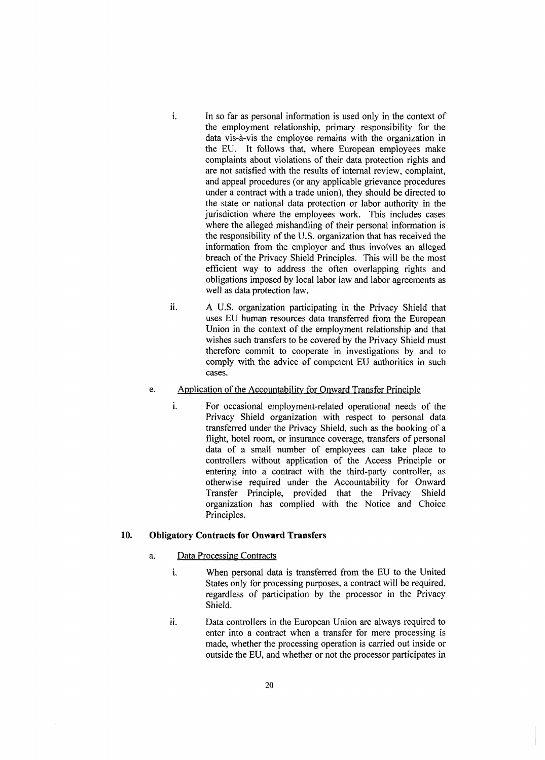- i. In so far as personal information is used only in the context of the employment relationship, primary responsibility for the data vis-à-vis the employee remains with the organization in the EU. It follows that, where European employees make complaints about violations of their data protection rights and are not satisfied with the results of internal review, complaint, and appeal procedures (or any applicable grievance procedures under a contract with a trade union), they should be directed to the state or national data protection or labor authority in the jurisdiction where the employees work. This includes cases where the alleged mishandling of their personal information is the responsibility of the U.S. organization that has received the information from the employer and thus involves an alleged breach of the Privacy Shield Principles. This will be the most efficient way to address the often overlapping rights and obligations imposed by local labor law and labor agreements as well as data protection law.
- ii. A U.S. organization participating in the Privacy Shield that uses EU human resources data transferred from the European Union in the context of the employment relationship and that wishes such transfers to be covered by the Privacy Shield must therefore commit to cooperate in investigations by and to comply with the advice of competent EU authorities in such cases.

#### e. Application of the Accountability for Onward Transfer Principle

i. For occasional employment-related operational needs of the Privacy Shield organization with respect to personal data transferred under the Privacy Shield, such as the booking of a flight, hotel room, or insurance coverage, transfers of personal data of a small number of employees can take place to controllers without application of the Access Principle or entering into a contract with the third-party controller, as otherwise required under the Accountability for Onward Transfer Principle, provided that the Privacy Shield organization has complied with the Notice and Choice Principles.

#### 10. **Obligatory Contracts for Onward Transfers**

#### a. Data Processing Contracts

- i. When personal data is transferred from the EU to the United States only for processing purposes, a contract will be required, regardless of participation by the processor in the Privacy Shield.
- ii. Data controllers in the European Union are always required to enter into a contract when a transfer for mere processing is made, whether the processing operation is carried out inside or outside the EU, and whether or not the processor participates in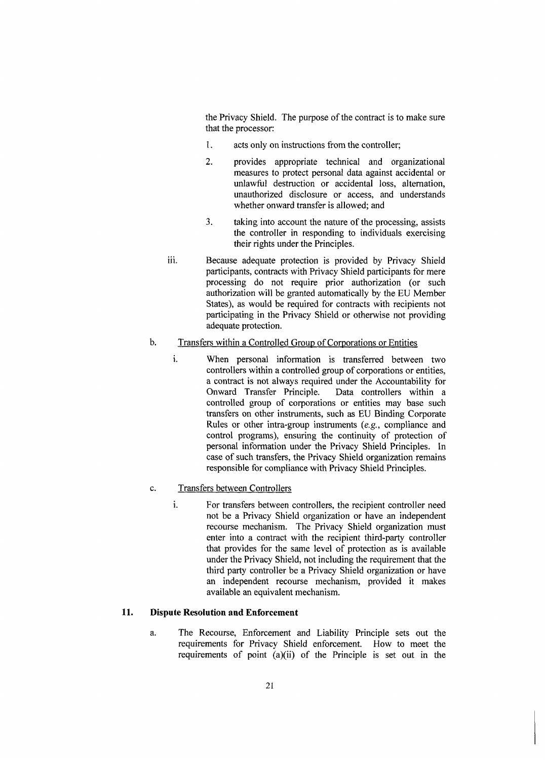the Privacy Shield. The purpose of the contract is to make sure that the processor:

- 1. acts only on instructions from the controller;
- 2. provides appropriate technical and organizational measures to protect personal data against accidental or unlawful destruction or accidental loss, alternation, unauthorized disclosure or access, and understands whether onward transfer is allowed; and
- 3. taking into account the nature of the processing, assists the controller in responding to individuals exercising their rights under the Principles.
- iii. Because adequate protection is provided by Privacy Shield participants, contracts with Privacy Shield participants for mere processing do not require prior authorization (or such authorization will be granted automatically by the EU Member States), as would be required for contracts with recipients not participating in the Privacy Shield or otherwise not providing adequate protection.

#### b. Transfers within a Controlled Group of Corporations or Entities

i. When personal information is transferred between two controllers within a controlled group of corporations or entities, a contract is not always required under the Accountability for Onward Transfer Principle. Data controllers within a controlled group of corporations or entities may base such transfers on other instruments, such as EU Binding Corporate Rules or other intra-group instruments *(e.g.,* compliance and control programs), ensuring the continuity of protection of personal information under the Privacy Shield Principles. In case of such transfers, the Privacy Shield organization remains responsible for compliance with Privacy Shield Principles.

#### c. Transfers between Controllers

i. For transfers between controllers, the recipient controller need not be a Privacy Shield organization or have an independent recourse mechanism. The Privacy Shield organization must enter into a contract with the recipient third-party controller that provides for the same level of protection as is available under the Privacy Shield, not including the requirement that the third party controller be a Privacy Shield organization or have an independent recourse mechanism, provided it makes available an equivalent mechanism.

#### 11. **Dispute Resolution and Enforcement**

a. The Recourse, Enforcement and Liability Principle sets out the requirements for Privacy Shield enforcement. How to meet the requirements of point (a)(ii) of the Principle is set out in the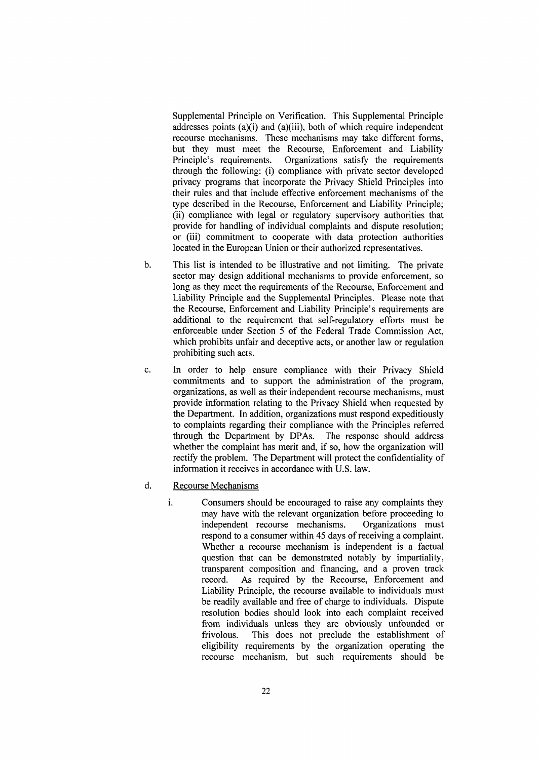Supplemental Principle on Verification. This Supplemental Principle addresses points (a)(i) and (a)(iii), both of which require independent recourse mechanisms. These mechanisms may take different forms, but they must meet the Recourse, Enforcement and Liability Principle's requirements. Organizations satisfy the requirements through the following: (i) compliance with private sector developed privacy programs that incorporate the Privacy Shield Principles into their rules and that include effective enforcement mechanisms of the type described in the Recourse, Enforcement and Liability Principle; (ii) compliance with legal or regulatory supervisory authorities that provide for handling of individual complaints and dispute resolution; or (iii) commitment to cooperate with data protection authorities located in the European Union or their authorized representatives.

- b. This list is intended to be illustrative and not limiting. The private sector may design additional mechanisms to provide enforcement, so long as they meet the requirements of the Recourse, Enforcement and Liability Principle and the Supplemental Principles. Please note that the Recourse, Enforcement and Liability Principle's requirements are additional to the requirement that self-regulatory efforts must be enforceable under Section 5 of the Federal Trade Commission Act, which prohibits unfair and deceptive acts, or another law or regulation prohibiting such acts.
- c. In order to help ensure compliance with their Privacy Shield commitments and to support the administration of the program, organizations, as well as their independent recourse mechanisms, must provide information relating to the Privacy Shield when requested by the Department. In addition, organizations must respond expeditiously to complaints regarding their compliance with the Principles referred through the Department by DPAs. The response should address whether the complaint has merit and, if so, how the organization will rectify the problem. The Department will protect the confidentiality of information it receives in accordance with U.S. law.
- d. Recourse Mechanisms
	- i. Consumers should be encouraged to raise any complaints they may have with the relevant organization before proceeding to independent recourse mechanisms. Organizations must respond to a consumer within 45 days of receiving a complaint. Whether a recourse mechanism is independent is a factual question that can be demonstrated notably by impartiality, transparent composition and financing, and a proven track record. As required by the Recourse, Enforcement and Liability Principle, the recourse available to individuals must be readily available and free of charge to individuals. Dispute resolution bodies should look into each complaint received from individuals unless they are obviously unfounded or frivolous. This does not preclude the establishment of eligibility requirements by the organization operating the recourse mechanism, but such requirements should be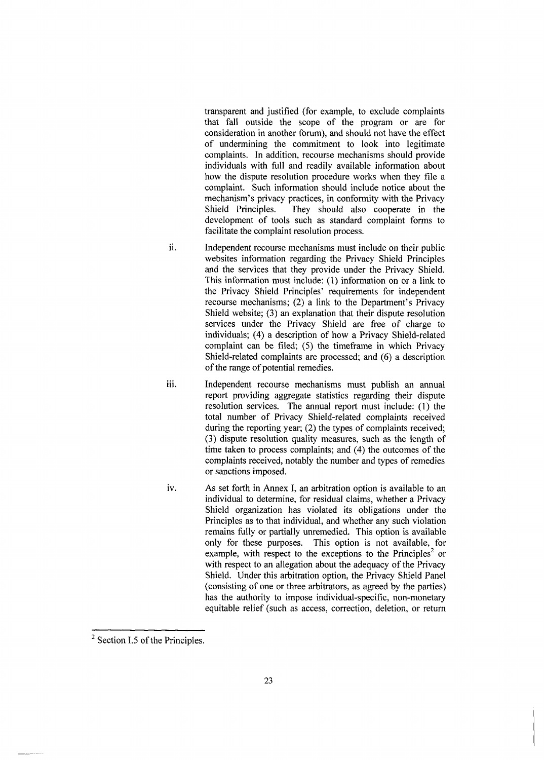transparent and justified (for example, to exclude complaints that fall outside the scope of the program or are for consideration in another forum), and should not have the effect of undermining the commitment to look into legitimate complaints. In addition, recourse mechanisms should provide individuals with full and readily available information about how the dispute resolution procedure works when they file a complaint. Such information should include notice about the mechanism's privacy practices, in conformity with the Privacy Shield Principles. They should also cooperate in the development of tools such as standard complaint forms to facilitate the complaint resolution process.

- ii. Independent recourse mechanisms must include on their public websites information regarding the Privacy Shield Principles and the services that they provide under the Privacy Shield. This information must include: (1) information on or a link to the Privacy Shield Principles' requirements for independent recourse mechanisms; (2) a link to the Department's Privacy Shield website; (3) an explanation that their dispute resolution services under the Privacy Shield are free of charge to individuals; (4) a description of how a Privacy Shield-related complaint can be filed; (5) the timeframe in which Privacy Shield-related complaints are processed; and (6) a description of the range of potential remedies.
- iii. Independent recourse mechanisms must publish an annual report providing aggregate statistics regarding their dispute resolution services. The annual report must include: (1) the total number of Privacy Shield-related complaints received during the reporting year; (2) the types of complaints received; (3) dispute resolution quality measures, such as the length of time taken to process complaints; and (4) the outcomes of the complaints received, notably the number and types of remedies or sanctions imposed.
- iv. As set forth in Annex I, an arbitration option is available to an individual to determine, for residual claims, whether a Privacy Shield organization has violated its obligations under the Principles as to that individual, and whether any such violation remains fully or partially unremedied. This option is available only for these purposes. This option is not available, for example, with respect to the exceptions to the Principles<sup>2</sup> or with respect to an allegation about the adequacy of the Privacy Shield. Under this arbitration option, the Privacy Shield Panel (consisting of one or three arbitrators, as agreed by the parties) has the authority to impose individual-specific, non-monetary equitable relief (such as access, correction, deletion, or return

 $2$  Section I.5 of the Principles.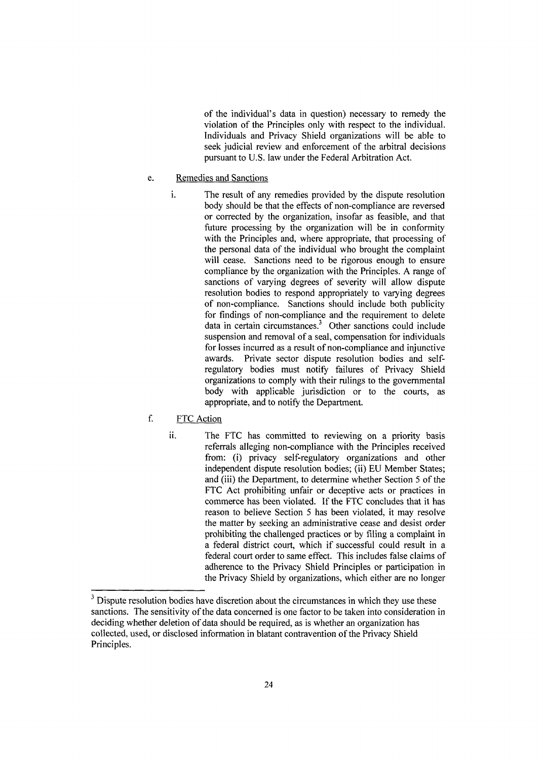of the individual's data in question) necessary to remedy the violation of the Principles only with respect to the individual. Individuals and Privacy Shield organizations will be able to seek judicial review and enforcement of the arbitral decisions pursuant to U.S. law under the Federal Arbitration Act.

#### e. Remedies and Sanctions

i. The result of any remedies provided by the dispute resolution body should be that the effects of non-compliance are reversed or corrected by the organization, insofar as feasible, and that future processing by the organization will be in conformity with the Principles and, where appropriate, that processing of the personal data of the individual who brought the complaint will cease. Sanctions need to be rigorous enough to ensure compliance by the organization with the Principles. A range of sanctions of varying degrees of severity will allow dispute resolution bodies to respond appropriately to varying degrees of non-compliance. Sanctions should include both publicity for findings of non-compliance and the requirement to delete data in certain circumstances.<sup>3</sup> Other sanctions could include suspension and removal of a seal, compensation for individuals for losses incurred as a result of non-compliance and injunctive awards. Private sector dispute resolution bodies and selfregulatory bodies must notify failures of Privacy Shield organizations to comply with their rulings to the governmental body with applicable jurisdiction or to the courts, as appropriate, and to notify the Department.

## f. FTC Action

ii. The FTC has committed to reviewing on a priority basis referrals alleging non-compliance with the Principles received from: (i) privacy self-regulatory organizations and other independent dispute resolution bodies; (ii) EU Member States; and (iii) the Department, to determine whether Section 5 of the FTC Act prohibiting unfair or deceptive acts or practices in commerce has been violated. If the FTC concludes that it has reason to believe Section 5 has been violated, it may resolve the matter by seeking an administrative cease and desist order prohibiting the challenged practices or by filing a complaint in a federal district court, which if successful could result in a federal court order to same effect. This includes false claims of adherence to the Privacy Shield Principles or participation in the Privacy Shield by organizations, which either are no longer

 $3$  Dispute resolution bodies have discretion about the circumstances in which they use these sanctions. The sensitivity of the data concerned is one factor to be taken into consideration in deciding whether deletion of data should be required, as is whether an organization has collected, used, or disclosed information in blatant contravention of the Privacy Shield Principles.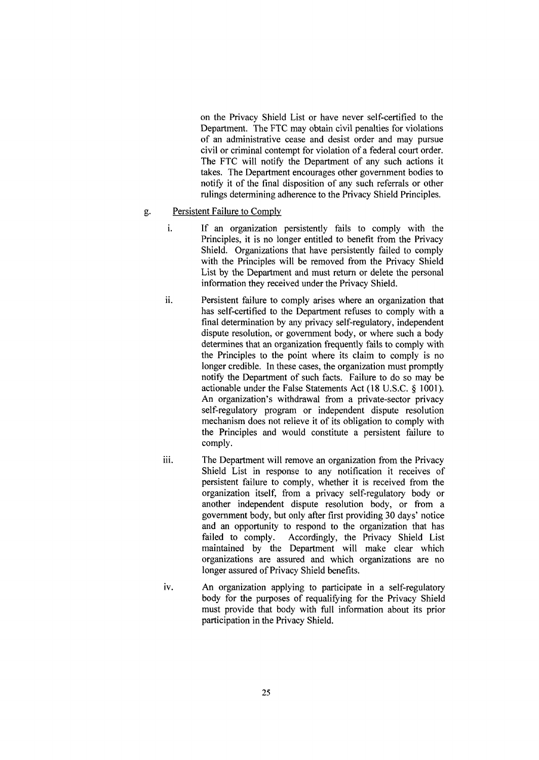on the Privacy Shield List or have never self-certified to the Department. The FTC may obtain civil penalties for violations of an administrative cease and desist order and may pursue civil or criminal contempt for violation of a federal court order. The FTC will notify the Department of any such actions it takes. The Department encourages other government bodies to notify it of the final disposition of any such referrals or other rulings determining adherence to the Privacy Shield Principles.

#### Persistent Failure to Comply g.

- i. If an organization persistently fails to comply with the Principles, it is no longer entitled to benefit from the Privacy Shield. Organizations that have persistently failed to comply with the Principles will be removed from the Privacy Shield List by the Department and must return or delete the personal information they received under the Privacy Shield.
- ii. Persistent failure to comply arises where an organization that has self-certified to the Department refuses to comply with a final determination by any privacy self-regulatory, independent dispute resolution, or government body, or where such a body determines that an organization frequently fails to comply with the Principles to the point where its claim to comply is no longer credible. In these cases, the organization must promptly notify the Department of such facts. Failure to do so may be actionable under the False Statements Act (18 U.S.C. § 1001). An organization's withdrawal from a private-sector privacy self-regulatory program or independent dispute resolution mechanism does not relieve it of its obligation to comply with the Principles and would constitute a persistent failure to comply.
- iii. The Department will remove an organization from the Privacy Shield List in response to any notification it receives of persistent failure to comply, whether it is received from the organization itself, from a privacy self-regulatory body or another independent dispute resolution body, or from a government body, but only after first providing 30 days' notice and an opportunity to respond to the organization that has failed to comply. Accordingly, the Privacy Shield List maintained by the Department will make clear which organizations are assured and which organizations are no longer assured of Privacy Shield benefits.
- iv. An organization applying to participate in a self-regulatory body for the purposes of requalifying for the Privacy Shield must provide that body with full information about its prior participation in the Privacy Shield.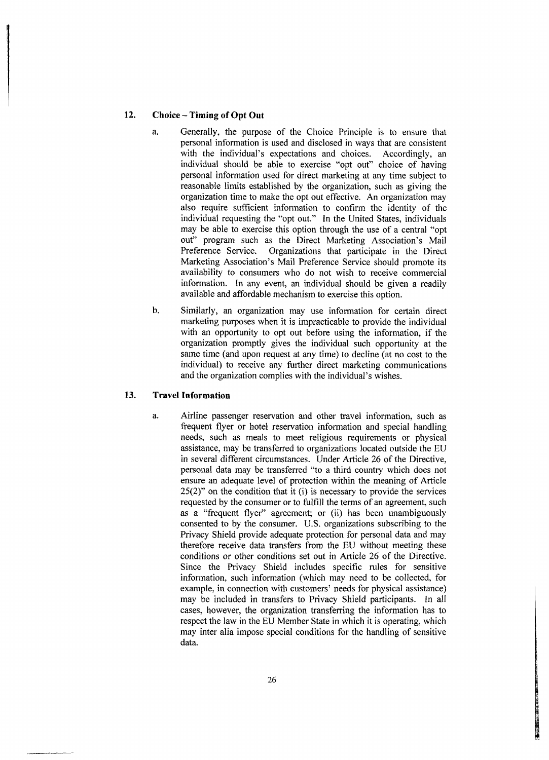#### **12. Choice - Timing of Opt Out**

- a. Generally, the purpose of the Choice Principle is to ensure that personal information is used and disclosed in ways that are consistent with the individual's expectations and choices. Accordingly, an individual should be able to exercise "opt out" choice of having personal information used for direct marketing at any time subject to reasonable limits established by the organization, such as giving the organization time to make the opt out effective. An organization may also require sufficient information to confirm the identity of the individual requesting the "opt out." In the United States, individuals may be able to exercise this option through the use of a central "opt out" program such as the Direct Marketing Association's Mail Preference Service. Organizations that participate in the Direct Marketing Association's Mail Preference Service should promote its availability to consumers who do not wish to receive commercial information. In any event, an individual should be given a readily available and affordable mechanism to exercise this option.
- b. Similarly, an organization may use information for certain direct marketing purposes when it is impracticable to provide the individual with an opportunity to opt out before using the information, if the organization promptly gives the individual such opportunity at the same time (and upon request at any time) to decline (at no cost to the individual) to receive any further direct marketing communications and the organization complies with the individual's wishes.

### **13. Travel Information**

a. Airline passenger reservation and other travel information, such as frequent flyer or hotel reservation information and special handling needs, such as meals to meet religious requirements or physical assistance, may be transferred to organizations located outside the EU in several different circumstances. Under Article 26 of the Directive, personal data may be transferred "to a third country which does not ensure an adequate level of protection within the meaning of Article 25(2)" on the condition that it (i) is necessary to provide the services requested by the consumer or to fulfill the terms of an agreement, such as a "frequent flyer" agreement; or (ii) has been unambiguously consented to by the consumer. U.S. organizations subscribing to the Privacy Shield provide adequate protection for personal data and may therefore receive data transfers from the EU without meeting these conditions or other conditions set out in Article 26 of the Directive. Since the Privacy Shield includes specific rules for sensitive information, such information (which may need to be collected, for example, in connection with customers' needs for physical assistance) may be included in transfers to Privacy Shield participants. In all cases, however, the organization transferring the information has to respect the law in the EU Member State in which it is operating, which may inter alia impose special conditions for the handling of sensitive data.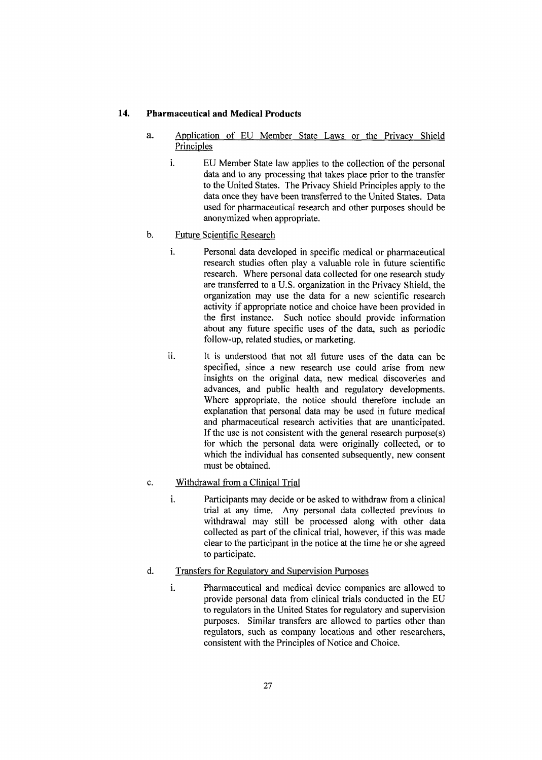#### 14. **Pharmaceutical and Medical Products**

- a. Application of EU Member State Laws or the Privacy Shield **Principles** 
	- i. EU Member State law applies to the collection of the personal data and to any processing that takes place prior to the transfer to the United States. The Privacy Shield Principles apply to the data once they have been transferred to the United States. Data used for pharmaceutical research and other purposes should be anonymized when appropriate.

## b. Future Scientific Research

- i. Personal data developed in specific medical or pharmaceutical research studies often play a valuable role in future scientific research. Where personal data collected for one research study are transferred to a U.S. organization in the Privacy Shield, the organization may use the data for a new scientific research activity if appropriate notice and choice have been provided in the first instance. Such notice should provide information about any future specific uses of the data, such as periodic follow-up, related studies, or marketing.
- ii. It is understood that not all future uses of the data can be specified, since a new research use could arise from new insights on the original data, new medical discoveries and advances, and public health and regulatory developments. Where appropriate, the notice should therefore include an explanation that personal data may be used in future medical and pharmaceutical research activities that are unanticipated. If the use is not consistent with the general research purpose(s) for which the personal data were originally collected, or to which the individual has consented subsequently, new consent must be obtained.

#### c. Withdrawal from a Clinical Trial

- i. Participants may decide or be asked to withdraw from a clinical trial at any time. Any personal data collected previous to withdrawal may still be processed along with other data collected as part of the clinical trial, however, if this was made clear to the participant in the notice at the time he or she agreed to participate.
- d. Transfers for Regulatory and Supervision Purposes
	- i. Pharmaceutical and medical device companies are allowed to provide personal data from clinical trials conducted in the EU to regulators in the United States for regulatory and supervision purposes. Similar transfers are allowed to parties other than regulators, such as company locations and other researchers, consistent with the Principles of Notice and Choice.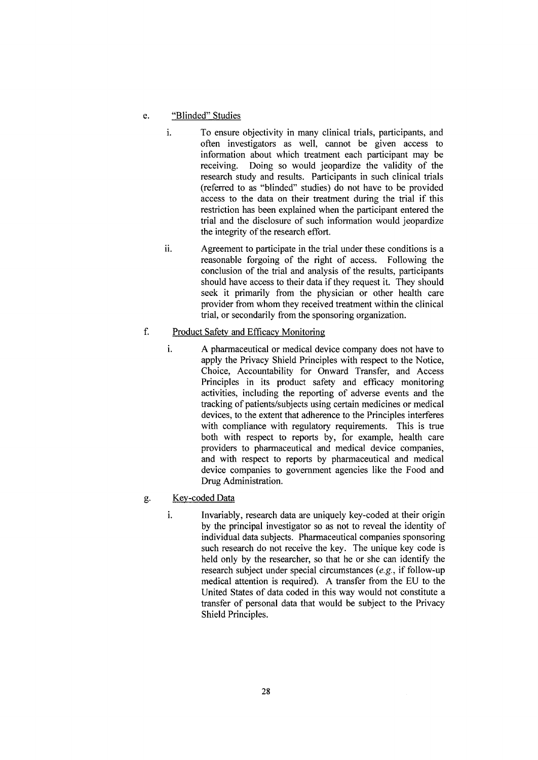#### e. "Blinded" Studies

- i. To ensure objectivity in many clinical trials, participants, and often investigators as well, cannot be given access to information about which treatment each participant may be receiving. Doing so would jeopardize the validity of the research study and results. Participants in such clinical trials (referred to as "blinded" studies) do not have to be provided access to the data on their treatment during the trial if this restriction has been explained when the participant entered the trial and the disclosure of such information would jeopardize the integrity of the research effort.
- ii. Agreement to participate in the trial under these conditions is a reasonable forgoing of the right of access. Following the conclusion of the trial and analysis of the results, participants should have access to their data if they request it. They should seek it primarily from the physician or other health care provider from whom they received treatment within the clinical trial, or secondarily from the sponsoring organization.

## f. Product Safety and Efficacy Monitoring

i. A pharmaceutical or medical device company does not have to apply the Privacy Shield Principles with respect to the Notice, Choice, Accountability for Onward Transfer, and Access Principles in its product safety and efficacy monitoring activities, including the reporting of adverse events and the tracking of patients/subjects using certain medicines or medical devices, to the extent that adherence to the Principles interferes with compliance with regulatory requirements. This is true both with respect to reports by, for example, health care providers to pharmaceutical and medical device companies, and with respect to reports by pharmaceutical and medical device companies to government agencies like the Food and Drug Administration.

### g. Key-coded Data

i. Invariably, research data are uniquely key-coded at their origin by the principal investigator so as not to reveal the identity of individual data subjects. Pharmaceutical companies sponsoring such research do not receive the key. The unique key code is held only by the researcher, so that he or she can identify the research subject under special circumstances *(e.g.,* if follow-up medical attention is required). A transfer from the EU to the United States of data coded in this way would not constitute a transfer of personal data that would be subject to the Privacy Shield Principles.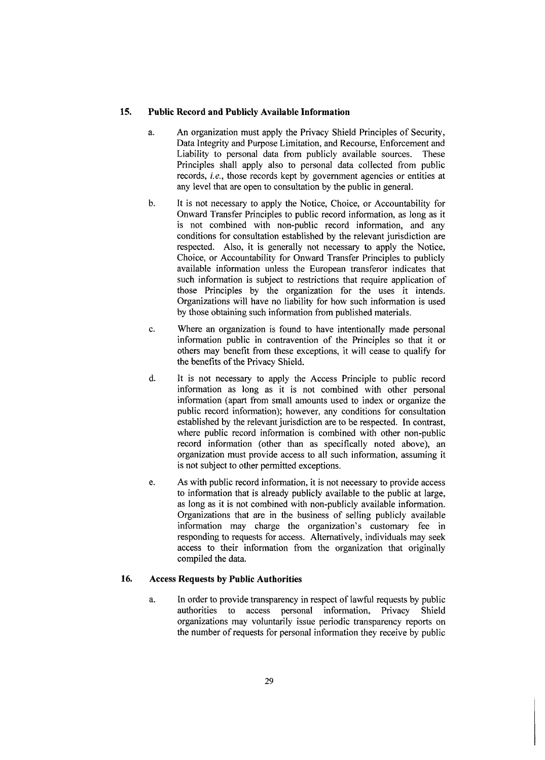#### **15. Public Record and Publicly Available Information**

- a. An organization must apply the Privacy Shield Principles of Security, Data Integrity and Purpose Limitation, and Recourse, Enforcement and Liability to personal data from publicly available sources. These Principles shall apply also to personal data collected from public records, *i.e.,* those records kept by government agencies or entities at any level that are open to consultation by the public in general.
- b. It is not necessary to apply the Notice, Choice, or Accountability for Onward Transfer Principles to public record information, as long as it is not combined with non-public record information, and any conditions for consultation established by the relevant jurisdiction are respected. Also, it is generally not necessary to apply the Notice, Choice, or Accountability for Onward Transfer Principles to publicly available information unless the European transferor indicates that such information is subject to restrictions that require application of those Principles by the organization for the uses it intends. Organizations will have no liability for how such information is used by those obtaining such information from published materials.
- c. Where an organization is found to have intentionally made personal information public in contravention of the Principles so that it or others may benefit from these exceptions, it will cease to qualify for the benefits of the Privacy Shield.
- d. It is not necessary to apply the Access Principle to public record information as long as it is not combined with other personal information (apart from small amounts used to index or organize the public record information); however, any conditions for consultation established by the relevant jurisdiction are to be respected. In contrast, where public record information is combined with other non-public record information (other than as specifically noted above), an organization must provide access to all such information, assuming it is not subject to other permitted exceptions.
- e. As with public record information, it is not necessary to provide access to information that is already publicly available to the public at large, as long as it is not combined with non-publicly available information. Organizations that are in the business of selling publicly available information may charge the organization's customary fee in responding to requests for access. Alternatively, individuals may seek access to their information from the organization that originally compiled the data.

#### **16. Access Requests by Public Authorities**

a. In order to provide transparency in respect of lawful requests by public authorities to access personal information, Privacy Shield organizations may voluntarily issue periodic transparency reports on the number of requests for personal information they receive by public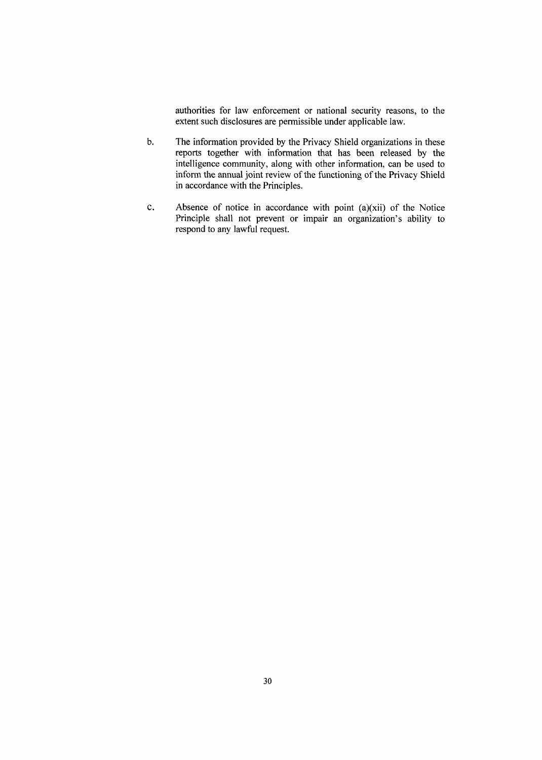authorities for law enforcement or national security reasons, to the extent such disclosures are permissible under applicable law.

- b. The information provided by the Privacy Shield organizations in these reports together with information that has been released by the intelligence community, along with other information, can be used to inform the annual joint review of the functioning of the Privacy Shield in accordance with the Principles.
- c. Absence of notice in accordance with point  $(a)(xii)$  of the Notice Principle shall not prevent or impair an organization's ability to respond to any lawful request.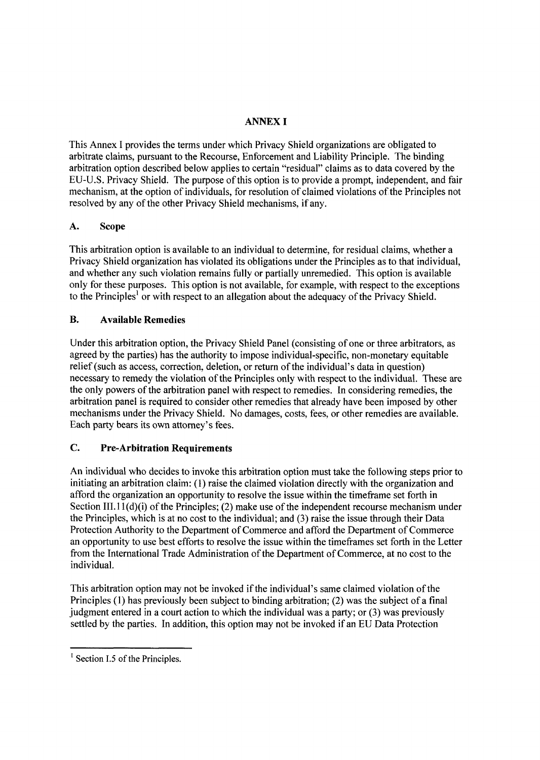## **ANNEX I**

This Annex I provides the terms under which Privacy Shield organizations are obligated to arbitrate claims, pursuant to the Recourse, Enforcement and Liability Principle. The binding arbitration option described below applies to certain "residual" claims as to data covered by the EU-U.S. Privacy Shield. The purpose of this option is to provide a prompt, independent, and fair mechanism, at the option of individuals, for resolution of claimed violations of the Principles not resolved by any of the other Privacy Shield mechanisms, if any.

## **A. Scope**

This arbitration option is available to an individual to determine, for residual claims, whether a Privacy Shield organization has violated its obligations under the Principles as to that individual, and whether any such violation remains fully or partially unremedied. This option is available only for these purposes. This option is not available, for example, with respect to the exceptions to the Principles<sup>1</sup> or with respect to an allegation about the adequacy of the Privacy Shield.

## **B. Available Remedies**

Under this arbitration option, the Privacy Shield Panel (consisting of one or three arbitrators, as agreed by the parties) has the authority to impose individual-specific, non-monetary equitable relief (such as access, correction, deletion, or return of the individual's data in question) necessary to remedy the violation of the Principles only with respect to the individual. These are the only powers of the arbitration panel with respect to remedies. In considering remedies, the arbitration panel is required to consider other remedies that already have been imposed by other mechanisms under the Privacy Shield. No damages, costs, fees, or other remedies are available. Each party bears its own attorney's fees.

## **C. Pre-Arbitration Requirements**

An individual who decides to invoke this arbitration option must take the following steps prior to initiating an arbitration claim: (1) raise the claimed violation directly with the organization and afford the organization an opportunity to resolve the issue within the timeframe set forth in Section III.11(d)(i) of the Principles; (2) make use of the independent recourse mechanism under the Principles, which is at no cost to the individual; and (3) raise the issue through their Data Protection Authority to the Department of Commerce and afford the Department of Commerce an opportunity to use best efforts to resolve the issue within the timeframes set forth in the Letter from the International Trade Administration of the Department of Commerce, at no cost to the individual.

This arbitration option may not be invoked if the individual's same claimed violation of the Principles (1) has previously been subject to binding arbitration; (2) was the subject of a final judgment entered in a court action to which the individual was a party; or (3) was previously settled by the parties. In addition, this option may not be invoked if an EU Data Protection

 $<sup>1</sup>$  Section I.5 of the Principles.</sup>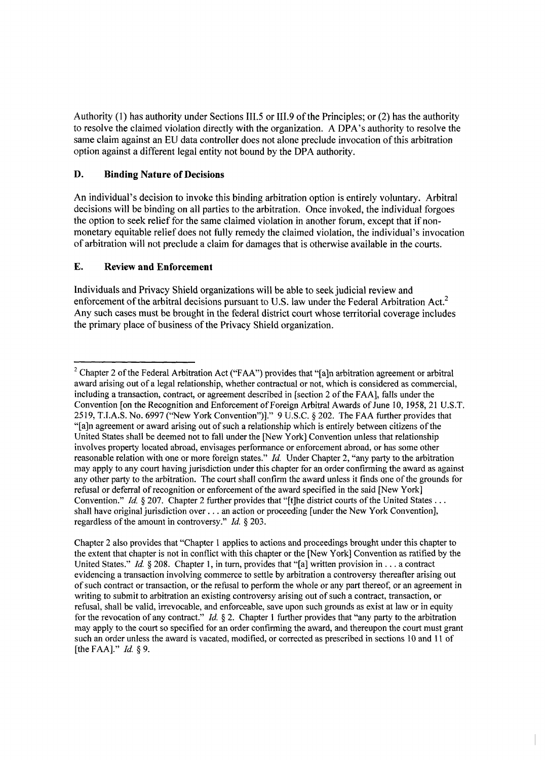Authority (1) has authority under Sections III.5 or III.9 of the Principles; or (2) has the authority to resolve the claimed violation directly with the organization. A DPA's authority to resolve the same claim against an EU data controller does not alone preclude invocation of this arbitration option against a different legal entity not bound by the DPA authority.

## **D. Binding Nature of Decisions**

An individual's decision to invoke this binding arbitration option is entirely voluntary. Arbitral decisions will be binding on all parties to the arbitration. Once invoked, the individual forgoes the option to seek relief for the same claimed violation in another forum, except that if nonmonetary equitable relief does not fully remedy the claimed violation, the individual's invocation of arbitration will not preclude a claim for damages that is otherwise available in the courts.

## **E. Review and Enforcement**

Individuals and Privacy Shield organizations will be able to seek judicial review and enforcement of the arbitral decisions pursuant to U.S. law under the Federal Arbitration Act.<sup>2</sup> Any such cases must be brought in the federal district court whose territorial coverage includes the primary place of business of the Privacy Shield organization.

<sup>&</sup>lt;sup>2</sup> Chapter 2 of the Federal Arbitration Act ("FAA") provides that "[a]n arbitration agreement or arbitral award arising out of a legal relationship, whether contractual or not, which is considered as commercial, including a transaction, contract, or agreement described in [section 2 of the FAA], falls under the Convention [on the Recognition and Enforcement of Foreign Arbitral Awards of June 10, 1958, 21 U.S.T. 2519, T.I.A.S. No. 6997 ("New York Convention")]." 9 U.S.C. § 202. The FAA further provides that "[a]n agreement or award arising out of such a relationship which is entirely between citizens of the United States shall be deemed not to fall under the [New York] Convention unless that relationship involves property located abroad, envisages performance or enforcement abroad, or has some other reasonable relation with one or more foreign states." *Id.* Under Chapter 2, "any party to the arbitration may apply to any court having jurisdiction under this chapter for an order confirming the award as against any other party to the arbitration. The court shall confirm the award unless it finds one of the grounds for refusal or deferral of recognition or enforcement of the award specified in the said [New York] Convention." *Id.* § 207. Chapter 2 further provides that "[t]he district courts of the United States ... shall have original jurisdiction over ... an action or proceeding [under the New York Convention], regardless of the amount in controversy." *Id.* § 203.

Chapter 2 also provides that "Chapter 1 applies to actions and proceedings brought under this chapter to the extent that chapter is not in conflict with this chapter or the [New York] Convention as ratified by the United States." *Id.* § 208. Chapter 1, in turn, provides that "[a] written provision in . . . a contract evidencing a transaction involving commerce to settle by arbitration a controversy thereafter arising out of such contract or transaction, or the refusal to perform the whole or any part thereof, or an agreement in writing to submit to arbitration an existing controversy arising out of such a contract, transaction, or refusal, shall be valid, irrevocable, and enforceable, save upon such grounds as exist at law or in equity for the revocation of any contract." *Id.* § 2. Chapter 1 further provides that "any party to the arbitration may apply to the court so specified for an order confirming the award, and thereupon the court must grant such an order unless the award is vacated, modified, or corrected as prescribed in sections 10 and 11 of [the FAA]." *Id.* § 9.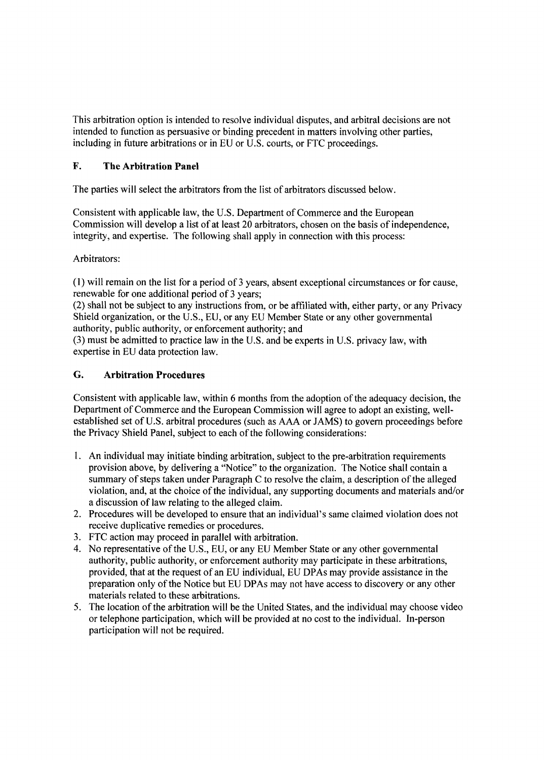This arbitration option is intended to resolve individual disputes, and arbitral decisions are not intended to function as persuasive or binding precedent in matters involving other parties, including in future arbitrations or in EU or U.S. courts, or FTC proceedings.

## **F. The Arbitration Panel**

The parties will select the arbitrators from the list of arbitrators discussed below.

Consistent with applicable law, the U.S. Department of Commerce and the European Commission will develop a list of at least 20 arbitrators, chosen on the basis of independence, integrity, and expertise. The following shall apply in connection with this process:

## Arbitrators:

(1) will remain on the list for a period of 3 years, absent exceptional circumstances or for cause, renewable for one additional period of 3 years;

(2) shall not be subject to any instructions from, or be affiliated with, either party, or any Privacy Shield organization, or the U.S., EU, or any EU Member State or any other governmental authority, public authority, or enforcement authority; and

(3) must be admitted to practice law in the U.S. and be experts in U.S. privacy law, with expertise in EU data protection law.

## **G. Arbitration Procedures**

Consistent with applicable law, within 6 months from the adoption of the adequacy decision, the Department of Commerce and the European Commission will agree to adopt an existing, wellestablished set of U.S. arbitral procedures (such as AAA or JAMS) to govern proceedings before the Privacy Shield Panel, subject to each of the following considerations:

- 1. An individual may initiate binding arbitration, subject to the pre-arbitration requirements provision above, by delivering a "Notice" to the organization. The Notice shall contain a summary of steps taken under Paragraph C to resolve the claim, a description of the alleged violation, and, at the choice of the individual, any supporting documents and materials and/or a discussion of law relating to the alleged claim.
- 2. Procedures will be developed to ensure that an individual's same claimed violation does not receive duplicative remedies or procedures.
- 3. FTC action may proceed in parallel with arbitration.
- 4. No representative of the U.S., EU, or any EU Member State or any other governmental authority, public authority, or enforcement authority may participate in these arbitrations, provided, that at the request of an EU individual, EU DPAs may provide assistance in the preparation only of the Notice but EU DPAs may not have access to discovery or any other materials related to these arbitrations.
- 5. The location of the arbitration will be the United States, and the individual may choose video or telephone participation, which will be provided at no cost to the individual. In-person participation will not be required.